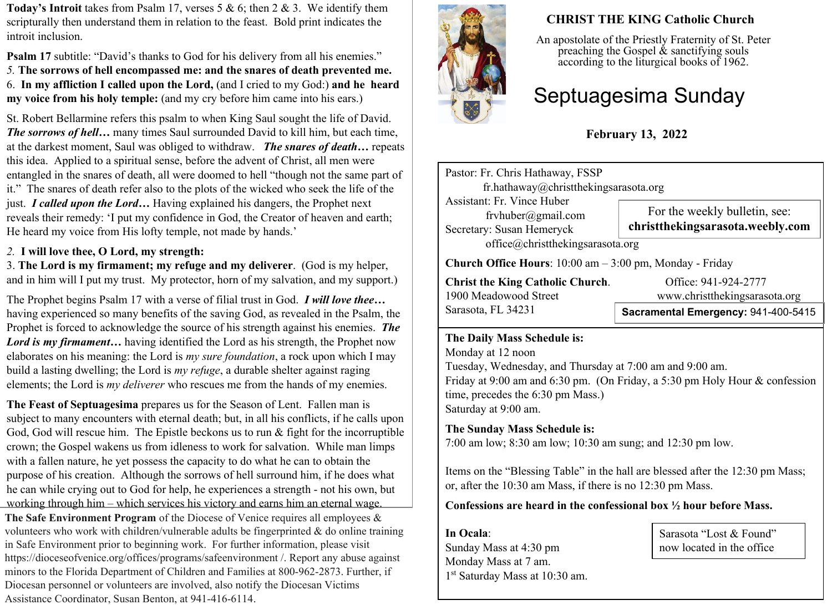**Today's Introit** takes from Psalm 17, verses 5 & 6; then 2 & 3. We identify them scripturally then understand them in relation to the feast. Bold print indicates the introit inclusion.

**Psalm 17** subtitle: "David's thanks to God for his delivery from all his enemies." *5.* **The sorrows of hell encompassed me: and the snares of death prevented me.** 6. **In my affliction I called upon the Lord,** (and I cried to my God:) **and he heard my voice from his holy temple:** (and my cry before him came into his ears.)

St. Robert Bellarmine refers this psalm to when King Saul sought the life of David. *The sorrows of hell…* many times Saul surrounded David to kill him, but each time, at the darkest moment, Saul was obliged to withdraw. *The snares of death…* repeats this idea. Applied to a spiritual sense, before the advent of Christ, all men were entangled in the snares of death, all were doomed to hell "though not the same part of it." The snares of death refer also to the plots of the wicked who seek the life of the just. *I called upon the Lord…* Having explained his dangers, the Prophet next reveals their remedy: 'I put my confidence in God, the Creator of heaven and earth; He heard my voice from His lofty temple, not made by hands.'

#### *2.* **I will love thee, O Lord, my strength:**

3. **The Lord is my firmament; my refuge and my deliverer**. (God is my helper, and in him will I put my trust. My protector, horn of my salvation, and my support.)

The Prophet begins Psalm 17 with a verse of filial trust in God. *I will love thee…* having experienced so many benefits of the saving God, as revealed in the Psalm, the Prophet is forced to acknowledge the source of his strength against his enemies. *The Lord is my firmament…* having identified the Lord as his strength, the Prophet now elaborates on his meaning: the Lord is *my sure foundation*, a rock upon which I may build a lasting dwelling; the Lord is *my refuge*, a durable shelter against raging elements; the Lord is *my deliverer* who rescues me from the hands of my enemies.

**The Feast of Septuagesima** prepares us for the Season of Lent. Fallen man is subject to many encounters with eternal death; but, in all his conflicts, if he calls upon God, God will rescue him. The Epistle beckons us to run  $\&$  fight for the incorruptible crown; the Gospel wakens us from idleness to work for salvation. While man limps with a fallen nature, he yet possess the capacity to do what he can to obtain the purpose of his creation. Although the sorrows of hell surround him, if he does what he can while crying out to God for help, he experiences a strength - not his own, but working through him – which services his victory and earns him an eternal wage. **The Safe Environment Program** of the Diocese of Venice requires all employees & volunteers who work with children/vulnerable adults be fingerprinted  $\&$  do online training in Safe Environment prior to beginning work. For further information, please visit https://dioceseofvenice.org/offices/programs/safeenvironment /. Report any abuse against minors to the Florida Department of Children and Families at 800-962-2873. Further, if Diocesan personnel or volunteers are involved, also notify the Diocesan Victims Assistance Coordinator, Susan Benton, at 941-416-6114.



# **CHRIST THE KING Catholic Church**

An apostolate of the Priestly Fraternity of St. Peter preaching the Gospel  $\&$  sanctifying souls according to the liturgical books of 1962.

# Septuagesima Sunday

# **February 13, 2022**

Pastor: Fr. Chris Hathaway, FSSP fr.hathaway@christthekingsarasota.org Assistant: Fr. Vince Huber frvhuber@gmail.com Secretary: Susan Hemeryck office@christthekingsarasota.org **Church Office Hours**: 10:00 am – 3:00 pm, Monday - Friday For the weekly bulletin, see: **christthekingsarasota.weebly.com**

**Christ the King Catholic Church.** Office: 941-924-2777 1900 Meadowood Street www.christthekingsarasota.org Sarasota, FL 34231

# **Sacramental Emergency:** 941-400-5415

#### **The Daily Mass Schedule is:**

Monday at 12 noon Tuesday, Wednesday, and Thursday at 7:00 am and 9:00 am. Friday at 9:00 am and 6:30 pm. (On Friday, a 5:30 pm Holy Hour & confession time, precedes the 6:30 pm Mass.) Saturday at 9:00 am.

## **The Sunday Mass Schedule is:**

7:00 am low; 8:30 am low; 10:30 am sung; and 12:30 pm low.

Items on the "Blessing Table" in the hall are blessed after the 12:30 pm Mass; or, after the 10:30 am Mass, if there is no 12:30 pm Mass.

## **Confessions are heard in the confessional box ½ hour before Mass.**

**In Ocala**: Sunday Mass at 4:30 pm Monday Mass at 7 am. 1 st Saturday Mass at 10:30 am.

Sarasota "Lost & Found" now located in the office